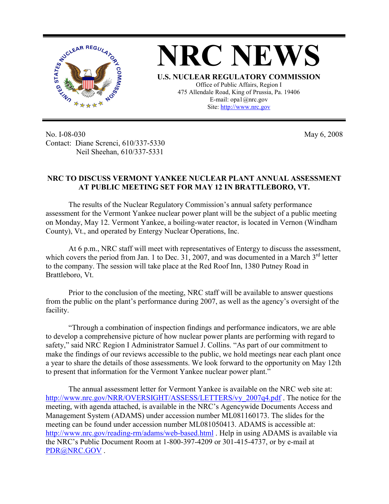

No. I-08-030 Contact: Diane Screnci, 610/337-5330 Neil Sheehan, 610/337-5331

May 6, 2008

## **NRC TO DISCUSS VERMONT YANKEE NUCLEAR PLANT ANNUAL ASSESSMENT AT PUBLIC MEETING SET FOR MAY 12 IN BRATTLEBORO, VT.**

The results of the Nuclear Regulatory Commission's annual safety performance assessment for the Vermont Yankee nuclear power plant will be the subject of a public meeting on Monday, May 12. Vermont Yankee, a boiling-water reactor, is located in Vernon (Windham County), Vt., and operated by Entergy Nuclear Operations, Inc.

At 6 p.m., NRC staff will meet with representatives of Entergy to discuss the assessment, which covers the period from Jan. 1 to Dec. 31, 2007, and was documented in a March  $3<sup>rd</sup>$  letter to the company. The session will take place at the Red Roof Inn, 1380 Putney Road in Brattleboro, Vt.

Prior to the conclusion of the meeting, NRC staff will be available to answer questions from the public on the plant's performance during 2007, as well as the agency's oversight of the facility.

"Through a combination of inspection findings and performance indicators, we are able to develop a comprehensive picture of how nuclear power plants are performing with regard to safety," said NRC Region I Administrator Samuel J. Collins. "As part of our commitment to make the findings of our reviews accessible to the public, we hold meetings near each plant once a year to share the details of those assessments. We look forward to the opportunity on May 12th to present that information for the Vermont Yankee nuclear power plant."

The annual assessment letter for Vermont Yankee is available on the NRC web site at: http://www.nrc.gov/NRR/OVERSIGHT/ASSESS/LETTERS/vy\_2007q4.pdf . The notice for the meeting, with agenda attached, is available in the NRC's Agencywide Documents Access and Management System (ADAMS) under accession number ML081160173. The slides for the meeting can be found under accession number ML081050413. ADAMS is accessible at: http://www.nrc.gov/reading-rm/adams/web-based.html . Help in using ADAMS is available via the NRC's Public Document Room at 1-800-397-4209 or 301-415-4737, or by e-mail at PDR@NRC.GOV.